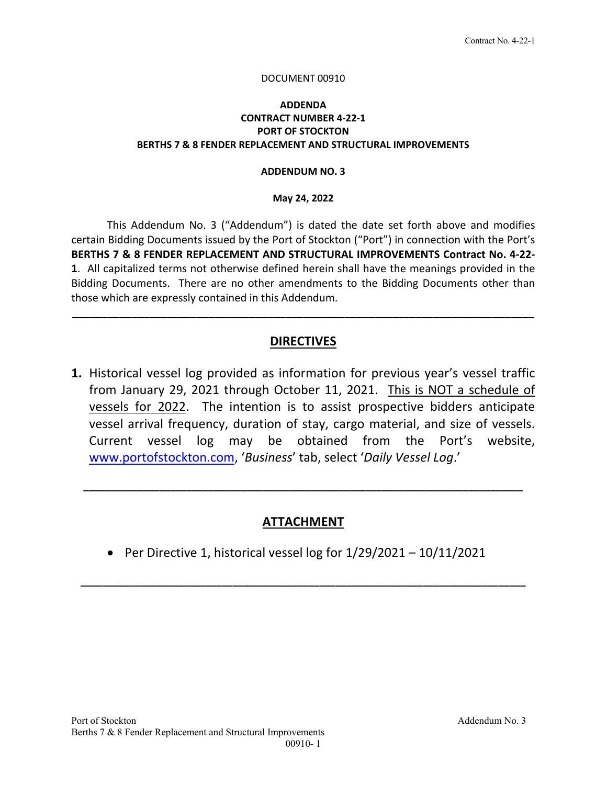#### DOCUMENT 00910

### **ADDENDA CONTRACT NUMBER 4‐22‐1 PORT OF STOCKTON BERTHS 7 & 8 FENDER REPLACEMENT AND STRUCTURAL IMPROVEMENTS**

#### **ADDENDUM NO. 3**

#### **May 24, 2022**

This Addendum No. 3 ("Addendum") is dated the date set forth above and modifies certain Bidding Documents issued by the Port of Stockton ("Port") in connection with the Port's **BERTHS 7 & 8 FENDER REPLACEMENT AND STRUCTURAL IMPROVEMENTS Contract No. 4‐22‐ 1**. All capitalized terms not otherwise defined herein shall have the meanings provided in the Bidding Documents. There are no other amendments to the Bidding Documents other than those which are expressly contained in this Addendum.

## **DIRECTIVES**

**\_\_\_\_\_\_\_\_\_\_\_\_\_\_\_\_\_\_\_\_\_\_\_\_\_\_\_\_\_\_\_\_\_\_\_\_\_\_\_\_\_\_\_\_\_\_\_\_\_\_\_\_\_\_\_\_\_\_\_\_\_\_\_\_\_\_\_\_\_\_\_\_\_\_\_\_\_\_** 

**1.** Historical vessel log provided as information for previous year's vessel traffic from January 29, 2021 through October 11, 2021. This is NOT a schedule of vessels for 2022. The intention is to assist prospective bidders anticipate vessel arrival frequency, duration of stay, cargo material, and size of vessels. Current vessel log may be obtained from the Port's website, www.portofstockton.com, '*Business*' tab, select '*Daily Vessel Log*.'

## **ATTACHMENT**

**\_\_\_\_\_\_\_\_\_\_\_\_\_\_\_\_\_\_\_\_\_\_\_\_\_\_\_\_\_\_\_\_\_\_\_\_\_\_\_\_\_\_\_\_\_\_\_\_\_\_\_\_\_\_\_\_\_\_\_\_\_\_\_\_\_\_\_\_\_\_\_\_\_\_\_\_\_\_\_\_\_\_** 

**\_\_\_\_\_\_\_\_\_\_\_\_\_\_\_\_\_\_\_\_\_\_\_\_\_\_\_\_\_\_\_\_\_\_\_\_\_\_\_\_\_\_\_\_\_\_\_\_\_\_\_\_\_\_\_\_\_\_\_\_\_\_\_\_\_\_\_\_\_\_\_\_\_\_\_\_\_\_\_\_\_**

• Per Directive 1, historical vessel log for  $1/29/2021 - 10/11/2021$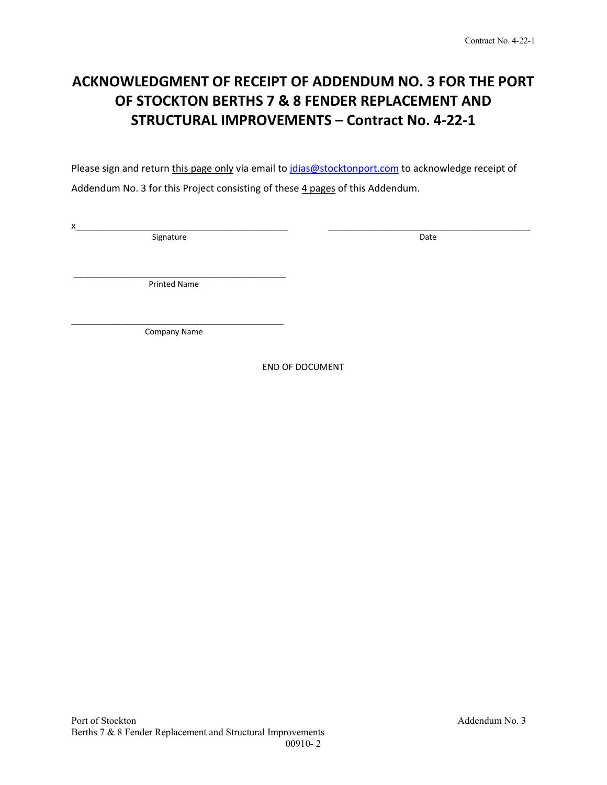# **ACKNOWLEDGMENT OF RECEIPT OF ADDENDUM NO. 3 FOR THE PORT OF STOCKTON BERTHS 7 & 8 FENDER REPLACEMENT AND STRUCTURAL IMPROVEMENTS – Contract No. 4‐22‐1**

Please sign and return this page only via email to jdias@stocktonport.com to acknowledge receipt of Addendum No. 3 for this Project consisting of these 4 pages of this Addendum.

 $x_\perp$  , and the state of the state of the state of the state of the state of the state of the state of the state of the state of the state of the state of the state of the state of the state of the state of the state of Signature Date Date Communications and Date Date Date

 \_\_\_\_\_\_\_\_\_\_\_\_\_\_\_\_\_\_\_\_\_\_\_\_\_\_\_\_\_\_\_\_\_\_\_\_\_\_\_\_\_\_\_ Printed Name

\_\_\_\_\_\_\_\_\_\_\_\_\_\_\_\_\_\_\_\_\_\_\_\_\_\_\_\_\_\_\_\_\_\_\_\_\_\_\_\_\_\_\_ Company Name

END OF DOCUMENT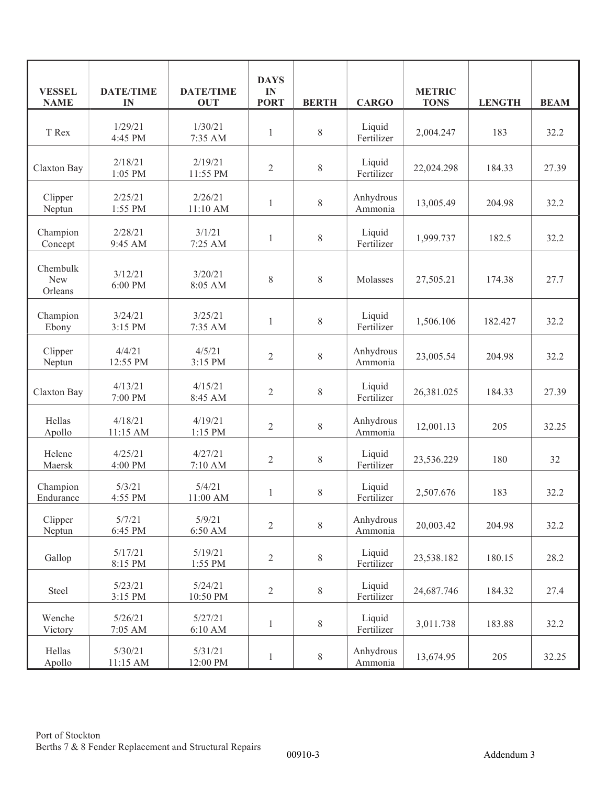| <b>VESSEL</b><br><b>NAME</b>      | <b>DATE/TIME</b><br>IN | <b>DATE/TIME</b><br><b>OUT</b> | <b>DAYS</b><br>IN<br><b>PORT</b> | <b>BERTH</b> | <b>CARGO</b>         | <b>METRIC</b><br><b>TONS</b> | <b>LENGTH</b> | <b>BEAM</b> |
|-----------------------------------|------------------------|--------------------------------|----------------------------------|--------------|----------------------|------------------------------|---------------|-------------|
| T Rex                             | 1/29/21<br>4:45 PM     | 1/30/21<br>7:35 AM             | $\mathbf{1}$                     | $8\,$        | Liquid<br>Fertilizer | 2,004.247                    | 183           | 32.2        |
| Claxton Bay                       | 2/18/21<br>1:05 PM     | 2/19/21<br>11:55 PM            | $\mathfrak{2}$                   | $\,$ $\,$    | Liquid<br>Fertilizer | 22,024.298                   | 184.33        | 27.39       |
| Clipper<br>Neptun                 | 2/25/21<br>1:55 PM     | 2/26/21<br>11:10 AM            | 1                                | $8\,$        | Anhydrous<br>Ammonia | 13,005.49                    | 204.98        | 32.2        |
| Champion<br>Concept               | 2/28/21<br>9:45 AM     | 3/1/21<br>7:25 AM              | $\mathbf{1}$                     | $8\,$        | Liquid<br>Fertilizer | 1,999.737                    | 182.5         | 32.2        |
| Chembulk<br><b>New</b><br>Orleans | 3/12/21<br>6:00 PM     | 3/20/21<br>8:05 AM             | $8\,$                            | 8            | Molasses             | 27,505.21                    | 174.38        | 27.7        |
| Champion<br>Ebony                 | 3/24/21<br>3:15 PM     | 3/25/21<br>7:35 AM             | $\mathbf{1}$                     | $8\,$        | Liquid<br>Fertilizer | 1,506.106                    | 182.427       | 32.2        |
| Clipper<br>Neptun                 | 4/4/21<br>12:55 PM     | 4/5/21<br>3:15 PM              | $\mathbf{2}$                     | $8\,$        | Anhydrous<br>Ammonia | 23,005.54                    | 204.98        | 32.2        |
| Claxton Bay                       | 4/13/21<br>7:00 PM     | 4/15/21<br>8:45 AM             | $\overline{2}$                   | $8\,$        | Liquid<br>Fertilizer | 26,381.025                   | 184.33        | 27.39       |
| Hellas<br>Apollo                  | 4/18/21<br>11:15 AM    | 4/19/21<br>1:15 PM             | $\mathbf{2}$                     | $8\,$        | Anhydrous<br>Ammonia | 12,001.13                    | 205           | 32.25       |
| Helene<br>Maersk                  | 4/25/21<br>4:00 PM     | 4/27/21<br>7:10 AM             | $\overline{2}$                   | $8\,$        | Liquid<br>Fertilizer | 23,536.229                   | 180           | 32          |
| Champion<br>Endurance             | 5/3/21<br>4:55 PM      | 5/4/21<br>11:00 AM             | $\mathbf{1}$                     | $8\,$        | Liquid<br>Fertilizer | 2,507.676                    | 183           | 32.2        |
| Clipper<br>Neptun                 | 5/7/21<br>6:45 PM      | 5/9/21<br>6:50 AM              | $\overline{2}$                   | 8            | Anhydrous<br>Ammonia | 20,003.42                    | 204.98        | 32.2        |
| Gallop                            | 5/17/21<br>8:15 PM     | 5/19/21<br>1:55 PM             | $\sqrt{2}$                       | $8\,$        | Liquid<br>Fertilizer | 23,538.182                   | 180.15        | 28.2        |
| Steel                             | 5/23/21<br>3:15 PM     | 5/24/21<br>10:50 PM            | $\overline{2}$                   | $8\,$        | Liquid<br>Fertilizer | 24,687.746                   | 184.32        | 27.4        |
| Wenche<br>Victory                 | 5/26/21<br>7:05 AM     | 5/27/21<br>6:10 AM             | $\mathbf{1}$                     | $8\,$        | Liquid<br>Fertilizer | 3,011.738                    | 183.88        | 32.2        |
| Hellas<br>Apollo                  | 5/30/21<br>11:15 AM    | 5/31/21<br>12:00 PM            | $\mathbf{1}$                     | $8\,$        | Anhydrous<br>Ammonia | 13,674.95                    | 205           | 32.25       |